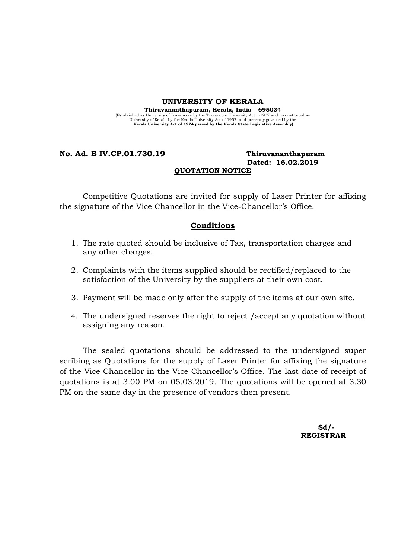#### UNIVERSITY OF KERALA

Thiruvananthapuram, Kerala, India – 695034 (Established as University of Travancore by the Travancore University Act in 1937 and reconstituted as<br>University of Kerala University act of 1957 and presently governed by the<br>Kerala University Act of 1974 passed by the K

# No. Ad. B IV.CP.01.730.19 Thiruvananthapuram Dated: 16.02.2019 QUOTATION NOTICE

Competitive Quotations are invited for supply of Laser Printer for affixing the signature of the Vice Chancellor in the Vice-Chancellor's Office.

# Conditions

- 1. The rate quoted should be inclusive of Tax, transportation charges and any other charges.
- 2. Complaints with the items supplied should be rectified/replaced to the satisfaction of the University by the suppliers at their own cost.
- 3. Payment will be made only after the supply of the items at our own site.
- 4. The undersigned reserves the right to reject /accept any quotation without assigning any reason.

The sealed quotations should be addressed to the undersigned super scribing as Quotations for the supply of Laser Printer for affixing the signature of the Vice Chancellor in the Vice-Chancellor's Office. The last date of receipt of quotations is at 3.00 PM on 05.03.2019. The quotations will be opened at 3.30 PM on the same day in the presence of vendors then present.

 $Sd/$ -REGISTRAR